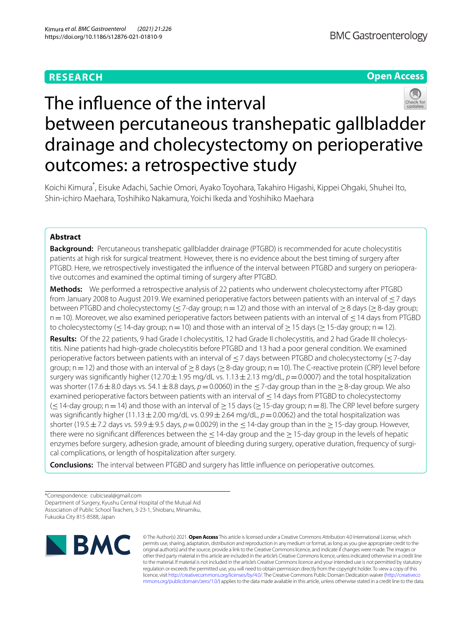# **RESEARCH**

# **Open Access**



# The infuence of the interval between percutaneous transhepatic gallbladder drainage and cholecystectomy on perioperative outcomes: a retrospective study

Koichi Kimura\* , Eisuke Adachi, Sachie Omori, Ayako Toyohara, Takahiro Higashi, Kippei Ohgaki, Shuhei Ito, Shin‑ichiro Maehara, Toshihiko Nakamura, Yoichi Ikeda and Yoshihiko Maehara

## **Abstract**

**Background:** Percutaneous transhepatic gallbladder drainage (PTGBD) is recommended for acute cholecystitis patients at high risk for surgical treatment. However, there is no evidence about the best timing of surgery after PTGBD. Here, we retrospectively investigated the influence of the interval between PTGBD and surgery on perioperative outcomes and examined the optimal timing of surgery after PTGBD.

**Methods:** We performed a retrospective analysis of 22 patients who underwent cholecystectomy after PTGBD from January 2008 to August 2019. We examined perioperative factors between patients with an interval of ≤7 days between PTGBD and cholecystectomy ( $\lt$ 7-day group; n=12) and those with an interval of  $>8$  days ( $>8$ -day group; n = 10). Moreover, we also examined perioperative factors between patients with an interval of ≤14 days from PTGBD to cholecystectomy ( $\leq$  14-day group; n=10) and those with an interval of  $\geq$  15 days ( $\geq$  15-day group; n=12).

**Results:** Of the 22 patients, 9 had Grade I cholecystitis, 12 had Grade II cholecystitis, and 2 had Grade III cholecystitis. Nine patients had high-grade cholecystitis before PTGBD and 13 had a poor general condition. We examined perioperative factors between patients with an interval of ≤7 days between PTGBD and cholecystectomy (≤7-day group;  $n=12$ ) and those with an interval of  $>8$  days ( $>8$ -day group;  $n=10$ ). The C-reactive protein (CRP) level before surgery was significantly higher (12.70  $\pm$  1.95 mg/dL vs. 1.13  $\pm$  2.13 mg/dL,  $p$  = 0.0007) and the total hospitalization was shorter (17.6 ± 8.0 days vs. 54.1 ± 8.8 days,  $p=0.0060$ ) in the  $\leq$  7-day group than in the  $\geq$  8-day group. We also examined perioperative factors between patients with an interval of ≤14 days from PTGBD to cholecystectomy (≤14-day group; n=14) and those with an interval of ≥15 days (≥15-day group; n=8). The CRP level before surgery was significantly higher (11.13 ± 2.00 mg/dL vs. 0.99 ± 2.64 mg/dL,  $p = 0.0062$ ) and the total hospitalization was shorter (19.5  $\pm$  7.2 days vs. 59.9  $\pm$  9.5 days,  $p=0.0029$ ) in the  $\leq$  14-day group than in the  $\geq$  15-day group. However, there were no significant differences between the  $\leq$  14-day group and the  $\geq$  15-day group in the levels of hepatic enzymes before surgery, adhesion grade, amount of bleeding during surgery, operative duration, frequency of surgical complications, or length of hospitalization after surgery.

**Conclusions:** The interval between PTGBD and surgery has little infuence on perioperative outcomes.

\*Correspondence: cubicseal@gmail.com Department of Surgery, Kyushu Central Hospital of the Mutual Aid Association of Public School Teachers, 3‑23‑1, Shiobaru, Minamiku, Fukuoka City 815‑8588, Japan



© The Author(s) 2021. **Open Access** This article is licensed under a Creative Commons Attribution 4.0 International License, which permits use, sharing, adaptation, distribution and reproduction in any medium or format, as long as you give appropriate credit to the original author(s) and the source, provide a link to the Creative Commons licence, and indicate if changes were made. The images or other third party material in this article are included in the article's Creative Commons licence, unless indicated otherwise in a credit line to the material. If material is not included in the article's Creative Commons licence and your intended use is not permitted by statutory regulation or exceeds the permitted use, you will need to obtain permission directly from the copyright holder. To view a copy of this licence, visit [http://creativecommons.org/licenses/by/4.0/.](http://creativecommons.org/licenses/by/4.0/) The Creative Commons Public Domain Dedication waiver ([http://creativeco](http://creativecommons.org/publicdomain/zero/1.0/) [mmons.org/publicdomain/zero/1.0/](http://creativecommons.org/publicdomain/zero/1.0/)) applies to the data made available in this article, unless otherwise stated in a credit line to the data.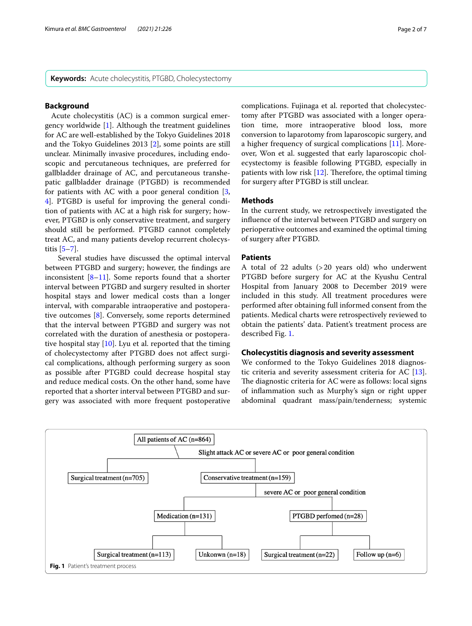**Keywords:** Acute cholecystitis, PTGBD, Cholecystectomy

## **Background**

 Acute cholecystitis (AC) is a common surgical emergency worldwide [\[1](#page-5-0)]. Although the treatment guidelines for AC are well-established by the Tokyo Guidelines 2018 and the Tokyo Guidelines 2013 [[2\]](#page-5-1), some points are still unclear. Minimally invasive procedures, including endoscopic and percutaneous techniques, are preferred for gallbladder drainage of AC, and percutaneous transhepatic gallbladder drainage (PTGBD) is recommended for patients with AC with a poor general condition [\[3](#page-5-2), [4\]](#page-5-3). PTGBD is useful for improving the general condition of patients with AC at a high risk for surgery; however, PTGBD is only conservative treatment, and surgery should still be performed. PTGBD cannot completely treat AC, and many patients develop recurrent cholecystitis  $[5-7]$  $[5-7]$ .

 Several studies have discussed the optimal interval between PTGBD and surgery; however, the fndings are inconsistent  $[8-11]$  $[8-11]$ . Some reports found that a shorter interval between PTGBD and surgery resulted in shorter hospital stays and lower medical costs than a longer interval, with comparable intraoperative and postoperative outcomes [\[8\]](#page-5-6). Conversely, some reports determined that the interval between PTGBD and surgery was not correlated with the duration of anesthesia or postoperative hospital stay  $[10]$  $[10]$ . Lyu et al. reported that the timing of cholecystectomy after PTGBD does not afect surgical complications, although performing surgery as soon as possible after PTGBD could decrease hospital stay and reduce medical costs. On the other hand, some have reported that a shorter interval between PTGBD and surgery was associated with more frequent postoperative complications. Fujinaga et al. reported that cholecystectomy after PTGBD was associated with a longer operation time, more intraoperative blood loss, more conversion to laparotomy from laparoscopic surgery, and a higher frequency of surgical complications [\[11](#page-5-7)]. Moreover, Won et al. suggested that early laparoscopic cholecystectomy is feasible following PTGBD, especially in patients with low risk  $[12]$  $[12]$ . Therefore, the optimal timing for surgery after PTGBD is still unclear.

## **Methods**

In the current study, we retrospectively investigated the infuence of the interval between PTGBD and surgery on perioperative outcomes and examined the optimal timing of surgery after PTGBD.

## **Patients**

A total of 22 adults (>20 years old) who underwent PTGBD before surgery for AC at the Kyushu Central Hospital from January 2008 to December 2019 were included in this study. All treatment procedures were performed after obtaining full informed consent from the patients. Medical charts were retrospectively reviewed to obtain the patients' data. Patient's treatment process are described Fig. [1.](#page-1-0)

## **Cholecystitis diagnosis and severity assessment**

We conformed to the Tokyo Guidelines 2018 diagnostic criteria and severity assessment criteria for AC [\[13](#page-5-10)]. The diagnostic criteria for AC were as follows: local signs of infammation such as Murphy's sign or right upper abdominal quadrant mass/pain/tenderness; systemic

<span id="page-1-0"></span>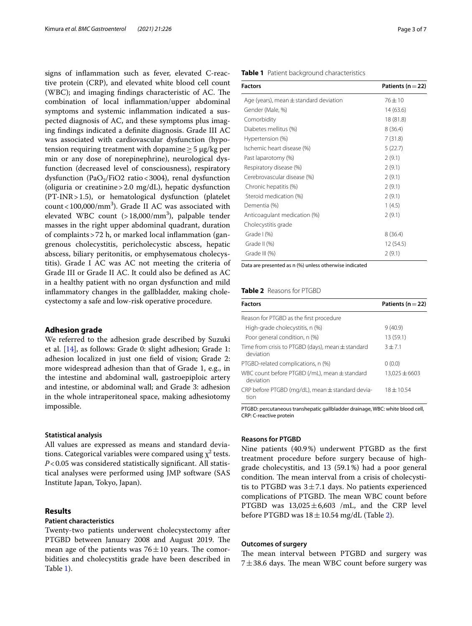signs of infammation such as fever, elevated C-reactive protein (CRP), and elevated white blood cell count (WBC); and imaging findings characteristic of AC. The combination of local infammation/upper abdominal symptoms and systemic infammation indicated a suspected diagnosis of AC, and these symptoms plus imaging fndings indicated a defnite diagnosis. Grade III AC was associated with cardiovascular dysfunction (hypotension requiring treatment with dopamine  $\geq$  5 µg/kg per min or any dose of norepinephrine), neurological dysfunction (decreased level of consciousness), respiratory dysfunction (PaO<sub>2</sub>/FiO2 ratio < 3004), renal dysfunction (oliguria or creatinine>2.0 mg/dL), hepatic dysfunction (PT-INR>1.5), or hematological dysfunction (platelet  $count < 100,000/mm<sup>3</sup>$ ). Grade II AC was associated with elevated WBC count (>18,000/mm<sup>3</sup>), palpable tender masses in the right upper abdominal quadrant, duration of complaints>72 h, or marked local infammation (gangrenous cholecystitis, pericholecystic abscess, hepatic abscess, biliary peritonitis, or emphysematous cholecystitis). Grade I AC was AC not meeting the criteria of Grade III or Grade II AC. It could also be defned as AC in a healthy patient with no organ dysfunction and mild infammatory changes in the gallbladder, making cholecystectomy a safe and low-risk operative procedure.

## **Adhesion grade**

We referred to the adhesion grade described by Suzuki et al. [\[14](#page-5-11)], as follows: Grade 0: slight adhesion; Grade 1: adhesion localized in just one feld of vision; Grade 2: more widespread adhesion than that of Grade 1, e.g., in the intestine and abdominal wall, gastroepiploic artery and intestine, or abdominal wall; and Grade 3: adhesion in the whole intraperitoneal space, making adhesiotomy impossible.

#### **Statistical analysis**

All values are expressed as means and standard deviations. Categorical variables were compared using  $\chi^2$  tests. *P*<0.05 was considered statistically significant. All statistical analyses were performed using JMP software (SAS Institute Japan, Tokyo, Japan).

## **Results**

### **Patient characteristics**

Twenty-two patients underwent cholecystectomy after PTGBD between January 2008 and August 2019. The mean age of the patients was  $76 \pm 10$  years. The comorbidities and cholecystitis grade have been described in Table [1](#page-2-0)).

#### <span id="page-2-0"></span>**Table 1** Patient background characteristics

| <b>Factors</b>                             | Patients ( $n = 22$ ) |
|--------------------------------------------|-----------------------|
| Age (years), mean $\pm$ standard deviation | $76 \pm 10$           |
| Gender (Male, %)                           | 14(63.6)              |
| Comorbidity                                | 18 (81.8)             |
| Diabetes mellitus (%)                      | 8(36.4)               |
| Hypertension (%)                           | 7(31.8)               |
| Ischemic heart disease (%)                 | 5(22.7)               |
| Past laparotomy (%)                        | 2(9.1)                |
| Respiratory disease (%)                    | 2(9.1)                |
| Cerebrovascular disease (%)                | 2(9.1)                |
| Chronic hepatitis (%)                      | 2(9.1)                |
| Steroid medication (%)                     | 2(9.1)                |
| Dementia (%)                               | 1(4.5)                |
| Anticoagulant medication (%)               | 2(9.1)                |
| Cholecystitis grade                        |                       |
| Grade $(%)$                                | 8(36.4)               |
| Grade II (%)                               | 12 (54.5)             |
| Grade III (%)                              | 2(9.1)                |

Data are presented as n (%) unless otherwise indicated

## <span id="page-2-1"></span>**Table 2** Reasons for PTGBD

| <b>Factors</b>                                                 | Patients ( $n = 22$ ) |
|----------------------------------------------------------------|-----------------------|
| Reason for PTGBD as the first procedure                        |                       |
| High-grade cholecystitis, n (%)                                | 9(40.9)               |
| Poor general condition, n (%)                                  | 13 (59.1)             |
| Time from crisis to PTGBD (days), mean ± standard<br>deviation | $3 + 7.1$             |
| PTGBD-related complications, n (%)                             | 0(0.0)                |
| WBC count before PTGBD (/mL), mean ± standard<br>deviation     | $13,025 \pm 6603$     |
| CRP before PTGBD (mg/dL), mean $\pm$ standard devia-<br>tion   | $18 \pm 10.54$        |

PTGBD: percutaneous transhepatic gallbladder drainage, WBC: white blood cell, CRP: C-reactive protein

## **Reasons for PTGBD**

Nine patients (40.9%) underwent PTGBD as the frst treatment procedure before surgery because of highgrade cholecystitis, and 13 (59.1%) had a poor general condition. The mean interval from a crisis of cholecystitis to PTGBD was  $3\pm7.1$  days. No patients experienced complications of PTGBD. The mean WBC count before PTGBD was  $13,025 \pm 6,603$  /mL, and the CRP level before PTGBD was  $18 \pm 10.54$  mg/dL (Table [2\)](#page-2-1).

#### **Outcomes of surgery**

The mean interval between PTGBD and surgery was  $7\pm38.6$  days. The mean WBC count before surgery was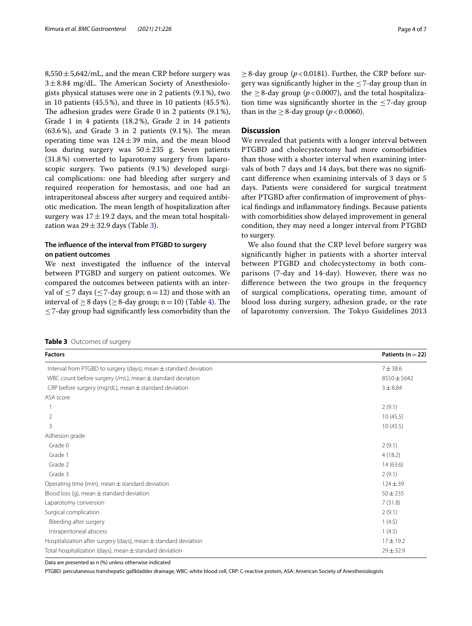$8,550 \pm 5,642$ /mL, and the mean CRP before surgery was  $3\pm8.84$  mg/dL. The American Society of Anesthesiologists physical statuses were one in 2 patients (9.1%), two in 10 patients (45.5%), and three in 10 patients (45.5%). The adhesion grades were Grade 0 in 2 patients  $(9.1\%)$ , Grade 1 in 4 patients (18.2%), Grade 2 in 14 patients  $(63.6\%)$ , and Grade 3 in 2 patients  $(9.1\%)$ . The mean operating time was  $124 \pm 39$  min, and the mean blood loss during surgery was  $50 \pm 235$  g. Seven patients (31.8%) converted to laparotomy surgery from laparoscopic surgery. Two patients (9.1%) developed surgical complications: one had bleeding after surgery and required reoperation for hemostasis, and one had an intraperitoneal abscess after surgery and required antibiotic medication. The mean length of hospitalization after surgery was  $17 \pm 19.2$  days, and the mean total hospitalization was  $29 \pm 32.9$  $29 \pm 32.9$  $29 \pm 32.9$  days (Table 3).

## **The infuence of the interval from PTGBD to surgery on patient outcomes**

We next investigated the infuence of the interval between PTGBD and surgery on patient outcomes. We compared the outcomes between patients with an interval of  $\leq$  7 days ( $\leq$  7-day group; n=12) and those with an interval of  $\geq 8$  days ( $\geq 8$ -day group; n = 10) (Table [4](#page-4-0)). The  $\leq$  7-day group had significantly less comorbidity than the

Data are presented as n (%) unless otherwise indicated PTGBD: percutaneous transhepatic gallbladder drainage, WBC: white blood cell, CRP: C-reactive protein, ASA: American Society of Anesthesiologists

<span id="page-3-0"></span>

| <b>Factors</b>                                                      | Patients ( $n = 22$ ) |
|---------------------------------------------------------------------|-----------------------|
| Interval from PTGBD to surgery (days), mean ± standard deviation    | $7 + 38.6$            |
| WBC count before surgery (/mL), mean $\pm$ standard deviation       | $8550 \pm 5642$       |
| CRP before surgery (mg/dL), mean $\pm$ standard deviation           | $3 + 8.84$            |
| ASA score                                                           |                       |
|                                                                     | 2(9.1)                |
| $\overline{2}$                                                      | 10(45.5)              |
| 3                                                                   | 10(45.5)              |
| Adhesion grade                                                      |                       |
| Grade 0                                                             | 2(9.1)                |
| Grade 1                                                             | 4(18.2)               |
| Grade 2                                                             | 14(63.6)              |
| Grade 3                                                             | 2(9.1)                |
| Operating time (min), mean $\pm$ standard deviation                 | $124 \pm 39$          |
| Blood loss (g), mean $\pm$ standard deviation                       | $50 + 235$            |
| Laparotomy conversion                                               | 7(31.8)               |
| Surgical complication                                               | 2(9.1)                |
| Bleeding after surgery                                              | 1(4.5)                |
| Intraperitoneal abscess                                             | 1(4.5)                |
| Hospitalization after surgery (days), mean $\pm$ standard deviation | $17 + 19.2$           |
| Total hospitalization (days), mean $\pm$ standard deviation         | $29 \pm 32.9$         |

 $\geq$ 8-day group ( $p$ <0.0181). Further, the CRP before surgery was significantly higher in the  $\leq$  7-day group than in the  $\geq$  8-day group ( $p$ <0.0007), and the total hospitalization time was significantly shorter in the  $\leq$ 7-day group than in the  $\geq$  8-day group ( $p < 0.0060$ ).

### **Discussion**

We revealed that patients with a longer interval between PTGBD and cholecystectomy had more comorbidities than those with a shorter interval when examining intervals of both 7 days and 14 days, but there was no signifcant diference when examining intervals of 3 days or 5 days. Patients were considered for surgical treatment after PTGBD after confrmation of improvement of physical fndings and infammatory fndings. Because patients with comorbidities show delayed improvement in general condition, they may need a longer interval from PTGBD to surgery.

We also found that the CRP level before surgery was signifcantly higher in patients with a shorter interval between PTGBD and cholecystectomy in both comparisons (7-day and 14-day). However, there was no diference between the two groups in the frequency of surgical complications, operating time, amount of blood loss during surgery, adhesion grade, or the rate of laparotomy conversion. The Tokyo Guidelines 2013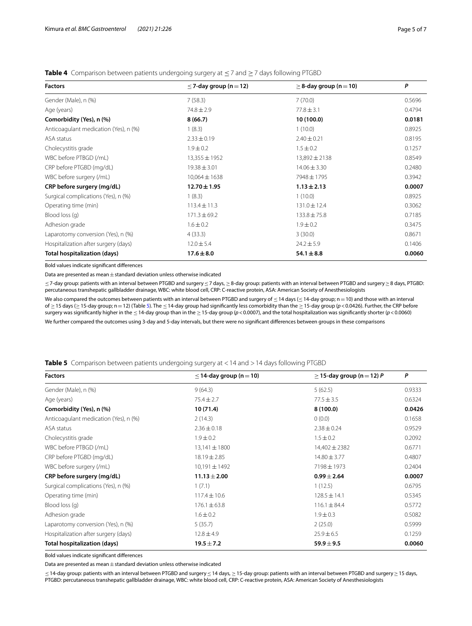## <span id="page-4-0"></span>**Table 4** Comparison between patients undergoing surgery at ≤7 and ≥7 days following PTGBD

| <b>Factors</b>                        | $\leq$ 7-day group (n = 12) | $\geq$ 8-day group (n = 10) | P      |  |
|---------------------------------------|-----------------------------|-----------------------------|--------|--|
| Gender (Male), n (%)                  | 7(58.3)                     | 7(70.0)                     | 0.5696 |  |
| Age (years)                           | $74.8 \pm 2.9$              | $77.8 \pm 3.1$              | 0.4794 |  |
| Comorbidity (Yes), n (%)              | 8(66.7)                     | 10 (100.0)                  | 0.0181 |  |
| Anticoagulant medication (Yes), n (%) | 1(8.3)                      | 1(10.0)                     | 0.8925 |  |
| ASA status                            | $2.33 \pm 0.19$             | $2.40 \pm 0.21$             | 0.8195 |  |
| Cholecystitis grade                   | $1.9 \pm 0.2$               | $1.5 \pm 0.2$               | 0.1257 |  |
| WBC before PTBGD (/mL)                | $13,355 \pm 1952$           | $13,892 \pm 2138$           | 0.8549 |  |
| CRP before PTGBD (mg/dL)              | $19.38 \pm 3.01$            | $14.06 \pm 3.30$            | 0.2480 |  |
| WBC before surgery (/mL)              | $10,064 \pm 1638$           | 7948±1795                   | 0.3942 |  |
| CRP before surgery (mg/dL)            | $12.70 \pm 1.95$            | $1.13 \pm 2.13$             | 0.0007 |  |
| Surgical complications (Yes), n (%)   | 1(8.3)                      | 1(10.0)                     | 0.8925 |  |
| Operating time (min)                  | $113.4 \pm 11.3$            | $131.0 \pm 12.4$            | 0.3062 |  |
| Blood loss (q)                        | $171.3 \pm 69.2$            | $133.8 \pm 75.8$            | 0.7185 |  |
| Adhesion grade                        | $1.6 \pm 0.2$               | $1.9 \pm 0.2$               | 0.3475 |  |
| Laparotomy conversion (Yes), n (%)    | 4(33.3)                     | 3(30.0)                     | 0.8671 |  |
| Hospitalization after surgery (days)  | $12.0 \pm 5.4$              | $24.2 \pm 5.9$              | 0.1406 |  |
| <b>Total hospitalization (days)</b>   | $17.6 \pm 8.0$              | $54.1 \pm 8.8$              | 0.0060 |  |

Bold values indicate signifcant diferences

Data are presented as mean  $\pm$  standard deviation unless otherwise indicated

≤7-day group: patients with an interval between PTGBD and surgery≤7 days, ≥8-day group: patients with an interval between PTGBD and surgery≥8 days, PTGBD: percutaneous transhepatic gallbladder drainage, WBC: white blood cell, CRP: C-reactive protein, ASA: American Society of Anesthesiologists

We also compared the outcomes between patients with an interval between PTGBD and surgery of ≤14 days (≤14-day group; n=10) and those with an interval of ≥15 days (≥15-day group; n=12) (Table [5\)](#page-4-1). The ≤14-day group had signifcantly less comorbidity than the ≥15-day group (*p*<0.0426). Further, the CRP before surgery was signifcantly higher in the ≤14-day group than in the ≥15-day group (*p*<0.0007), and the total hospitalization was signifcantly shorter (*p*<0.0060) We further compared the outcomes using 3-day and 5-day intervals, but there were no signifcant diferences between groups in these comparisons

<span id="page-4-1"></span>

|  |  |  |  | <b>Table 5</b> Comparison between patients undergoing surgery at <14 and >14 days following PTGBD |
|--|--|--|--|---------------------------------------------------------------------------------------------------|
|  |  |  |  |                                                                                                   |

| <b>Factors</b>                        | $\leq$ 14-day group (n = 10) | $\geq$ 15-day group (n = 12) P | P      |
|---------------------------------------|------------------------------|--------------------------------|--------|
| Gender (Male), n (%)                  | 9(64.3)                      | 5(62.5)                        | 0.9333 |
| Age (years)                           | $75.4 \pm 2.7$               | $77.5 \pm 3.5$                 | 0.6324 |
| Comorbidity (Yes), n (%)              | 10(71.4)                     | 8(100.0)                       | 0.0426 |
| Anticoagulant medication (Yes), n (%) | 2(14.3)                      | 0(0.0)                         | 0.1658 |
| ASA status                            | $2.36 \pm 0.18$              | $2.38 \pm 0.24$                | 0.9529 |
| Cholecystitis grade                   | $1.9 \pm 0.2$                | $1.5 \pm 0.2$                  | 0.2092 |
| WBC before PTBGD (/mL)                | $13,141 \pm 1800$            | $14,402 \pm 2382$              | 0.6771 |
| CRP before PTGBD (mg/dL)              | 18.19±2.85                   | $14.80 \pm 3.77$               | 0.4807 |
| WBC before surgery (/mL)              | $10,191 \pm 1492$            | 7198±1973                      | 0.2404 |
| CRP before surgery (mg/dL)            | $11.13 \pm 2.00$             | $0.99 \pm 2.64$                | 0.0007 |
| Surgical complications (Yes), n (%)   | 1(7.1)                       | 1(12.5)                        | 0.6795 |
| Operating time (min)                  | $117.4 \pm 10.6$             | $128.5 \pm 14.1$               | 0.5345 |
| Blood loss (g)                        | $176.1 \pm 63.8$             | $116.1 \pm 84.4$               | 0.5772 |
| Adhesion grade                        | $1.6 \pm 0.2$                | $1.9 \pm 0.3$                  | 0.5082 |
| Laparotomy conversion (Yes), n (%)    | 5(35.7)                      | 2(25.0)                        | 0.5999 |
| Hospitalization after surgery (days)  | $12.8 \pm 4.9$               | $25.9 \pm 6.5$                 | 0.1259 |
| <b>Total hospitalization (days)</b>   | $19.5 \pm 7.2$               | $59.9 \pm 9.5$                 | 0.0060 |

Bold values indicate signifcant diferences

Data are presented as mean  $\pm$  standard deviation unless otherwise indicated

≤14-day group: patients with an interval between PTGBD and surgery≤14 days, ≥15-day group: patients with an interval between PTGBD and surgery≥15 days, PTGBD: percutaneous transhepatic gallbladder drainage, WBC: white blood cell, CRP: C-reactive protein, ASA: American Society of Anesthesiologists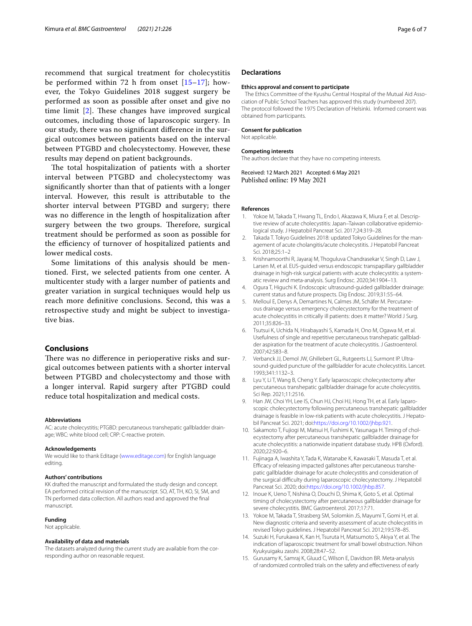recommend that surgical treatment for cholecystitis be performed within 72 h from onset  $[15-17]$  $[15-17]$ ; however, the Tokyo Guidelines 2018 suggest surgery be performed as soon as possible after onset and give no time limit  $[2]$  $[2]$ . These changes have improved surgical outcomes, including those of laparoscopic surgery. In our study, there was no signifcant diference in the surgical outcomes between patients based on the interval between PTGBD and cholecystectomy. However, these results may depend on patient backgrounds.

The total hospitalization of patients with a shorter interval between PTGBD and cholecystectomy was signifcantly shorter than that of patients with a longer interval. However, this result is attributable to the shorter interval between PTGBD and surgery; there was no diference in the length of hospitalization after surgery between the two groups. Therefore, surgical treatment should be performed as soon as possible for the efficiency of turnover of hospitalized patients and lower medical costs.

Some limitations of this analysis should be mentioned. First, we selected patients from one center. A multicenter study with a larger number of patients and greater variation in surgical techniques would help us reach more defnitive conclusions. Second, this was a retrospective study and might be subject to investigative bias.

### **Conclusions**

There was no difference in perioperative risks and surgical outcomes between patients with a shorter interval between PTGBD and cholecystectomy and those with a longer interval. Rapid surgery after PTGBD could reduce total hospitalization and medical costs.

#### **Abbreviations**

AC: acute cholecystitis; PTGBD: percutaneous transhepatic gallbladder drainage; WBC: white blood cell; CRP: C-reactive protein.

#### **Acknowledgements**

We would like to thank Editage ([www.editage.com\)](http://www.editage.com) for English language editing.

#### **Authors' contributions**

KK drafted the manuscript and formulated the study design and concept. EA performed critical revision of the manuscript. SO, AT, TH, KO, SI, SM, and TN performed data collection. All authors read and approved the fnal manuscript.

#### **Funding**

Not applicable.

#### **Availability of data and materials**

The datasets analyzed during the current study are available from the corresponding author on reasonable request.

#### **Declarations**

#### **Ethics approval and consent to participate**

The Ethics Committee of the Kyushu Central Hospital of the Mutual Aid Association of Public School Teachers has approved this study (numbered 207). The protocol followed the 1975 Declaration of Helsinki. Informed consent was obtained from participants.

#### **Consent for publication**

Not applicable.

#### **Competing interests**

The authors declare that they have no competing interests.

Received: 12 March 2021 Accepted: 6 May 2021 Published online: 19 May 2021

#### **References**

- <span id="page-5-0"></span>Yokoe M, Takada T, Hwang TL, Endo I, Akazawa K, Miura F, et al. Descriptive review of acute cholecystitis: Japan-Taiwan collaborative epidemiological study. J Hepatobil Pancreat Sci. 2017;24:319–28.
- <span id="page-5-1"></span>Takada T. Tokyo Guidelines 2018: updated Tokyo Guidelines for the management of acute cholangitis/acute cholecystitis. J Hepatobil Pancreat Sci. 2018;25:1–2
- <span id="page-5-2"></span>3. Krishnamoorthi R, Jayaraj M, Thoguluva Chandrasekar V, Singh D, Law J, Larsen M, et al. EUS-guided versus endoscopic transpapillary gallbladder drainage in high-risk surgical patients with acute cholecystitis: a systematic review and meta-analysis. Surg Endosc. 2020;34:1904–13.
- <span id="page-5-3"></span>4. Ogura T, Higuchi K. Endoscopic ultrasound-guided gallbladder drainage: current status and future prospects. Dig Endosc. 2019;31:55–64.
- <span id="page-5-4"></span>5. Melloul E, Denys A, Demartines N, Calmes JM, Schäfer M. Percutaneous drainage versus emergency cholecystectomy for the treatment of acute cholecystitis in critically ill patients: does it matter? World J Surg. 2011;35:826–33.
- 6. Tsutsui K, Uchida N, Hirabayashi S, Kamada H, Ono M, Ogawa M, et al. Usefulness of single and repetitive percutaneous transhepatic gallbladder aspiration for the treatment of acute cholecystitis. J Gastroenterol. 2007;42:583–8.
- <span id="page-5-5"></span>7. Verbanck JJ, Demol JW, Ghillebert GL, Rutgeerts LJ, Surmont IP. Ultrasound-guided puncture of the gallbladder for acute cholecystitis. Lancet. 1993;341:1132–3.
- <span id="page-5-6"></span>8. Lyu Y, Li T, Wang B, Cheng Y. Early laparoscopic cholecystectomy after percutaneous transhepatic gallbladder drainage for acute cholecystitis. Sci Rep. 2021;11:2516.
- 9. Han JW, Choi YH, Lee IS, Chun HJ, Choi HJ, Hong TH, et al. Early laparoscopic cholecystectomy following percutaneous transhepatic gallbladder drainage is feasible in low-risk patients with acute cholecystitis. J Hepato‑ bil Pancreat Sci. 2021; doi[:https://doi.org/10.1002/jhbp.921.](https://doi.org/10.1002/jhbp.921)
- <span id="page-5-8"></span>10. Sakamoto T, Fujiogi M, Matsui H, Fushimi K, Yasunaga H. Timing of cholecystectomy after percutaneous transhepatic gallbladder drainage for acute cholecystitis: a nationwide inpatient database study. HPB (Oxford). 2020;22:920–6.
- <span id="page-5-7"></span>11. Fujinaga A, Iwashita Y, Tada K, Watanabe K, Kawasaki T, Masuda T, et al. Efficacy of releasing impacted gallstones after percutaneous transhepatic gallbladder drainage for acute cholecystitis and consideration of the surgical difficulty during laparoscopic cholecystectomy. J Hepatobil Pancreat Sci. 2020; doi[:https://doi.org/10.1002/jhbp.857.](https://doi.org/10.1002/jhbp.857)
- <span id="page-5-9"></span>12. Inoue K, Ueno T, Nishina O, Douchi D, Shima K, Goto S, et al. Optimal timing of cholecystectomy after percutaneous gallbladder drainage for severe cholecystitis. BMC Gastroenterol. 2017;17:71.
- <span id="page-5-10"></span>13. Yokoe M, Takada T, Strasberg SM, Solomkin JS, Mayumi T, Gomi H, et al. New diagnostic criteria and severity assessment of acute cholecystitis in revised Tokyo guidelines. J Hepatobil Pancreat Sci. 2012;19:578–85.
- <span id="page-5-11"></span>14. Suzuki H, Furukawa K, Kan H, Tsuruta H, Matsumoto S, Akiya Y, et al. The indication of laparoscopic treatment for small bowel obstruction. Nihon Kyukyuigaku zasshi. 2008;28:47–52.
- <span id="page-5-12"></span>15. Gurusamy K, Samraj K, Gluud C, Wilson E, Davidson BR. Meta-analysis of randomized controlled trials on the safety and efectiveness of early